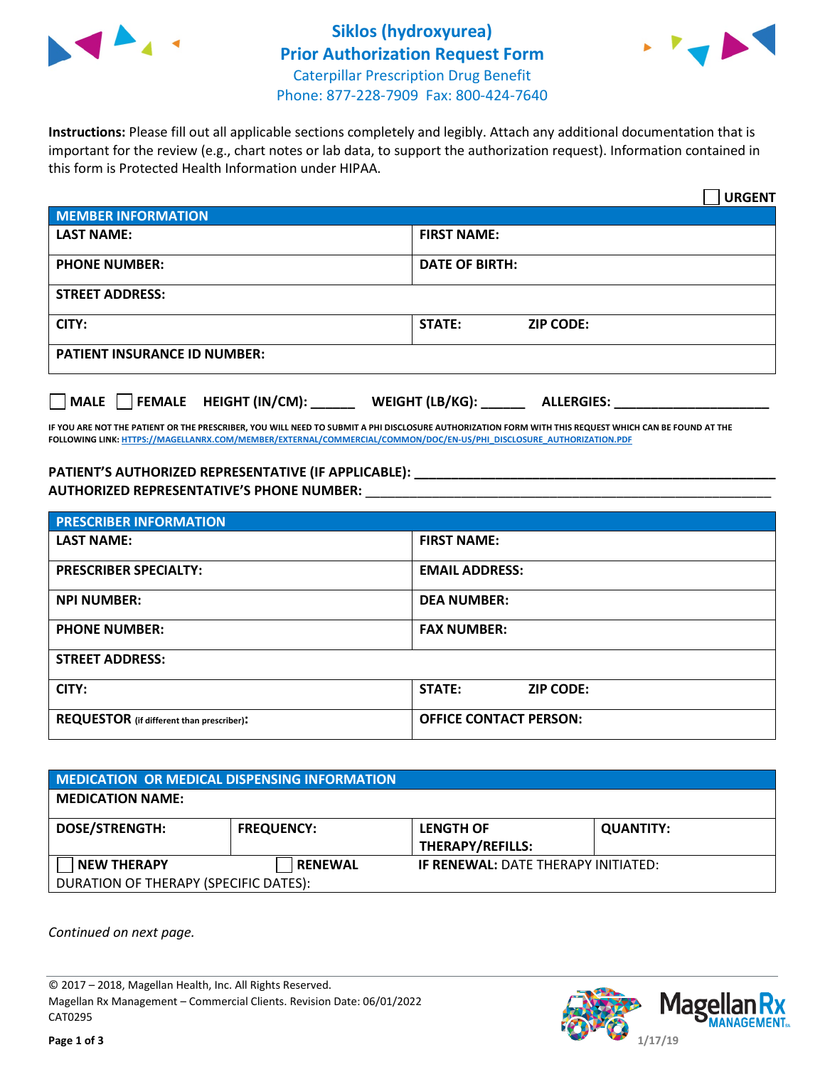



**Instructions:** Please fill out all applicable sections completely and legibly. Attach any additional documentation that is important for the review (e.g., chart notes or lab data, to support the authorization request). Information contained in this form is Protected Health Information under HIPAA.

|                                                | <b>URGENT</b>                        |  |  |
|------------------------------------------------|--------------------------------------|--|--|
| <b>MEMBER INFORMATION</b>                      |                                      |  |  |
| <b>LAST NAME:</b>                              | <b>FIRST NAME:</b>                   |  |  |
| <b>PHONE NUMBER:</b>                           | <b>DATE OF BIRTH:</b>                |  |  |
| <b>STREET ADDRESS:</b>                         |                                      |  |  |
| CITY:                                          | <b>ZIP CODE:</b><br>STATE:           |  |  |
| <b>PATIENT INSURANCE ID NUMBER:</b>            |                                      |  |  |
| FEMALE HEIGHT (IN/CM):<br>$\vert$ $\vert$ MALE | WEIGHT (LB/KG):<br><b>ALLERGIES:</b> |  |  |

**IF YOU ARE NOT THE PATIENT OR THE PRESCRIBER, YOU WILL NEED TO SUBMIT A PHI DISCLOSURE AUTHORIZATION FORM WITH THIS REQUEST WHICH CAN BE FOUND AT THE FOLLOWING LINK[: HTTPS://MAGELLANRX.COM/MEMBER/EXTERNAL/COMMERCIAL/COMMON/DOC/EN-US/PHI\\_DISCLOSURE\\_AUTHORIZATION.PDF](https://magellanrx.com/member/external/commercial/common/doc/en-us/PHI_Disclosure_Authorization.pdf)**

**PATIENT'S AUTHORIZED REPRESENTATIVE (IF APPLICABLE): \_\_\_\_\_\_\_\_\_\_\_\_\_\_\_\_\_\_\_\_\_\_\_\_\_\_\_\_\_\_\_\_\_\_\_\_\_\_\_\_\_\_\_\_\_\_\_\_\_ AUTHORIZED REPRESENTATIVE'S PHONE NUMBER:** \_\_\_\_\_\_\_\_\_\_\_\_\_\_\_\_\_\_\_\_\_\_\_\_\_\_\_\_\_\_\_\_\_\_\_\_\_\_\_\_\_\_\_\_\_\_\_\_\_\_\_\_\_\_\_

| <b>PRESCRIBER INFORMATION</b>             |                               |  |  |  |
|-------------------------------------------|-------------------------------|--|--|--|
| <b>LAST NAME:</b>                         | <b>FIRST NAME:</b>            |  |  |  |
| <b>PRESCRIBER SPECIALTY:</b>              | <b>EMAIL ADDRESS:</b>         |  |  |  |
| <b>NPI NUMBER:</b>                        | <b>DEA NUMBER:</b>            |  |  |  |
| <b>PHONE NUMBER:</b>                      | <b>FAX NUMBER:</b>            |  |  |  |
| <b>STREET ADDRESS:</b>                    |                               |  |  |  |
| CITY:                                     | STATE:<br><b>ZIP CODE:</b>    |  |  |  |
| REQUESTOR (if different than prescriber): | <b>OFFICE CONTACT PERSON:</b> |  |  |  |

| <b>MEDICATION OR MEDICAL DISPENSING INFORMATION</b> |                   |                                            |                  |  |
|-----------------------------------------------------|-------------------|--------------------------------------------|------------------|--|
| <b>MEDICATION NAME:</b>                             |                   |                                            |                  |  |
| <b>DOSE/STRENGTH:</b>                               | <b>FREQUENCY:</b> | <b>LENGTH OF</b><br>THERAPY/REFILLS:       | <b>QUANTITY:</b> |  |
| <b>NEW THERAPY</b>                                  | <b>RENEWAL</b>    | <b>IF RENEWAL: DATE THERAPY INITIATED:</b> |                  |  |
| DURATION OF THERAPY (SPECIFIC DATES):               |                   |                                            |                  |  |

*Continued on next page.*

© 2017 – 2018, Magellan Health, Inc. All Rights Reserved. Magellan Rx Management – Commercial Clients. Revision Date: 06/01/2022 CAT0295

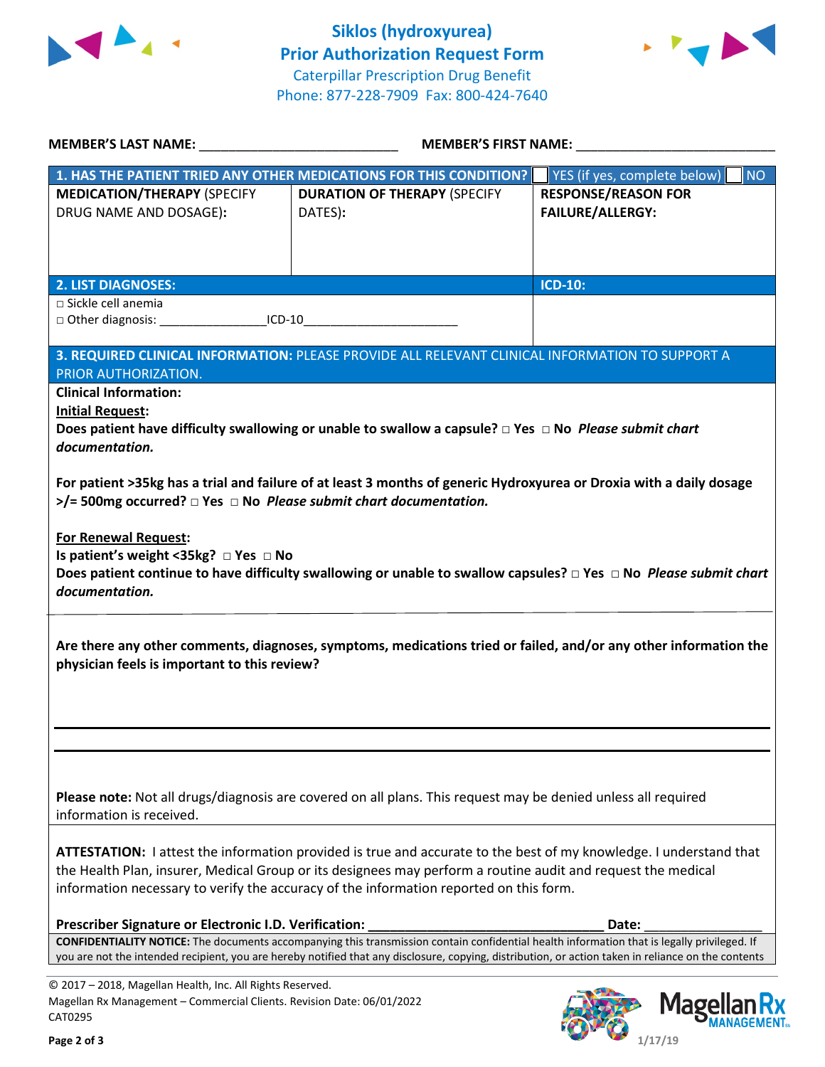



|                                                                                                                                                | <b>MEMBER'S LAST NAME:</b> NAME<br>MEMBER'S FIRST NAME:                                                                                                                                                                                                                                                                      |                                                       |
|------------------------------------------------------------------------------------------------------------------------------------------------|------------------------------------------------------------------------------------------------------------------------------------------------------------------------------------------------------------------------------------------------------------------------------------------------------------------------------|-------------------------------------------------------|
|                                                                                                                                                | 1. HAS THE PATIENT TRIED ANY OTHER MEDICATIONS FOR THIS CONDITION?                                                                                                                                                                                                                                                           | YES (if yes, complete below)<br><b>NO</b>             |
| <b>MEDICATION/THERAPY (SPECIFY</b><br>DRUG NAME AND DOSAGE):                                                                                   | <b>DURATION OF THERAPY (SPECIFY</b><br>DATES):                                                                                                                                                                                                                                                                               | <b>RESPONSE/REASON FOR</b><br><b>FAILURE/ALLERGY:</b> |
| <b>2. LIST DIAGNOSES:</b>                                                                                                                      |                                                                                                                                                                                                                                                                                                                              | <b>ICD-10:</b>                                        |
| □ Sickle cell anemia<br>□ Other diagnosis: ____________________ICD-10__________________________________                                        |                                                                                                                                                                                                                                                                                                                              |                                                       |
| PRIOR AUTHORIZATION.                                                                                                                           | 3. REQUIRED CLINICAL INFORMATION: PLEASE PROVIDE ALL RELEVANT CLINICAL INFORMATION TO SUPPORT A                                                                                                                                                                                                                              |                                                       |
| <b>Clinical Information:</b>                                                                                                                   |                                                                                                                                                                                                                                                                                                                              |                                                       |
| <b>Initial Request:</b>                                                                                                                        | Does patient have difficulty swallowing or unable to swallow a capsule? $\Box$ Yes $\Box$ No Please submit chart                                                                                                                                                                                                             |                                                       |
| documentation.                                                                                                                                 |                                                                                                                                                                                                                                                                                                                              |                                                       |
| $>$ /= 500mg occurred? $\Box$ Yes $\Box$ No Please submit chart documentation.                                                                 | For patient >35kg has a trial and failure of at least 3 months of generic Hydroxyurea or Droxia with a daily dosage                                                                                                                                                                                                          |                                                       |
| <b>For Renewal Request:</b><br>Is patient's weight <35kg? □ Yes □ No<br>documentation.                                                         | Does patient continue to have difficulty swallowing or unable to swallow capsules? □ Yes □ No Please submit chart                                                                                                                                                                                                            |                                                       |
| physician feels is important to this review?                                                                                                   | Are there any other comments, diagnoses, symptoms, medications tried or failed, and/or any other information the                                                                                                                                                                                                             |                                                       |
|                                                                                                                                                |                                                                                                                                                                                                                                                                                                                              |                                                       |
| information is received.                                                                                                                       | Please note: Not all drugs/diagnosis are covered on all plans. This request may be denied unless all required                                                                                                                                                                                                                |                                                       |
|                                                                                                                                                | ATTESTATION: I attest the information provided is true and accurate to the best of my knowledge. I understand that<br>the Health Plan, insurer, Medical Group or its designees may perform a routine audit and request the medical<br>information necessary to verify the accuracy of the information reported on this form. |                                                       |
| Prescriber Signature or Electronic I.D. Verification:                                                                                          |                                                                                                                                                                                                                                                                                                                              | Date:                                                 |
|                                                                                                                                                | CONFIDENTIALITY NOTICE: The documents accompanying this transmission contain confidential health information that is legally privileged. If<br>you are not the intended recipient, you are hereby notified that any disclosure, copying, distribution, or action taken in reliance on the contents                           |                                                       |
| © 2017 - 2018, Magellan Health, Inc. All Rights Reserved.<br>Magellan Rx Management - Commercial Clients. Revision Date: 06/01/2022<br>CAT0295 |                                                                                                                                                                                                                                                                                                                              | Magella                                               |

К